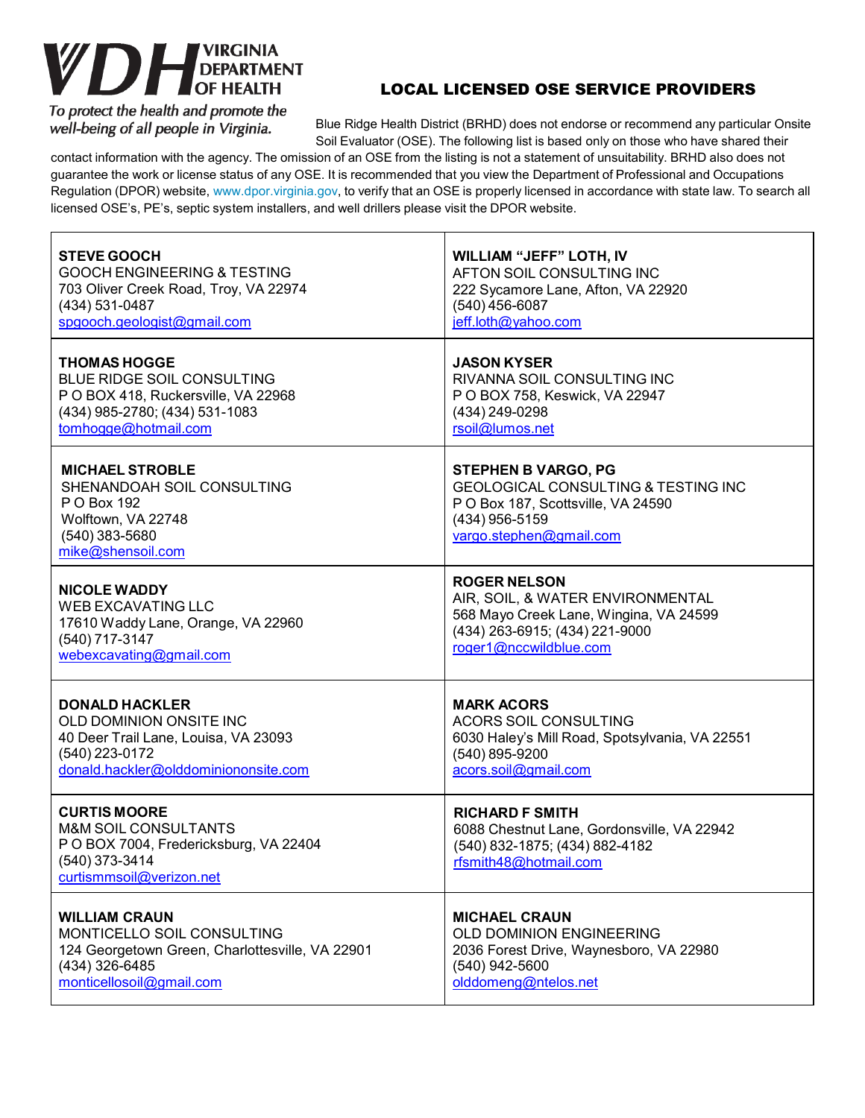## VDI DEPARTMENT

To protect the health and promote the well-being of all people in Virginia.

## LOCAL LICENSED OSE SERVICE PROVIDERS

Blue Ridge Health District (BRHD) does not endorse or recommend any particular Onsite Soil Evaluator (OSE). The following list is based only on those who have shared their

contact information with the agency. The omission of an OSE from the listing is not a statement of unsuitability. BRHD also does not guarantee the work or license status of any OSE. It is recommended that you view the Department of Professional and Occupations Regulation (DPOR) website, [www.dpor.virginia.gov,](http://www.dpor.virginia.gov/) to verify that an OSE is properly licensed in accordance with state law. To search all licensed OSE's, PE's, septic system installers, and well drillers please visit the DPOR website.

| <b>STEVE GOOCH</b>                                                                                                                             | <b>WILLIAM "JEFF" LOTH, IV</b>                                                                                                                                  |
|------------------------------------------------------------------------------------------------------------------------------------------------|-----------------------------------------------------------------------------------------------------------------------------------------------------------------|
| <b>GOOCH ENGINEERING &amp; TESTING</b>                                                                                                         | AFTON SOIL CONSULTING INC                                                                                                                                       |
| 703 Oliver Creek Road, Troy, VA 22974                                                                                                          | 222 Sycamore Lane, Afton, VA 22920                                                                                                                              |
| (434) 531-0487                                                                                                                                 | $(540)$ 456-6087                                                                                                                                                |
| spgooch.geologist@gmail.com                                                                                                                    | jeff.loth@yahoo.com                                                                                                                                             |
| <b>THOMAS HOGGE</b>                                                                                                                            | <b>JASON KYSER</b>                                                                                                                                              |
| BLUE RIDGE SOIL CONSULTING                                                                                                                     | RIVANNA SOIL CONSULTING INC                                                                                                                                     |
| P O BOX 418, Ruckersville, VA 22968                                                                                                            | P O BOX 758, Keswick, VA 22947                                                                                                                                  |
| (434) 985-2780; (434) 531-1083                                                                                                                 | (434) 249-0298                                                                                                                                                  |
| tomhogge@hotmail.com                                                                                                                           | rsoil@lumos.net                                                                                                                                                 |
| <b>MICHAEL STROBLE</b><br>SHENANDOAH SOIL CONSULTING<br>P O Box 192<br>Wolftown, VA 22748<br>(540) 383-5680<br>mike@shensoil.com               | <b>STEPHEN B VARGO, PG</b><br><b>GEOLOGICAL CONSULTING &amp; TESTING INC</b><br>P O Box 187, Scottsville, VA 24590<br>(434) 956-5159<br>vargo.stephen@gmail.com |
| <b>NICOLE WADDY</b>                                                                                                                            | <b>ROGER NELSON</b>                                                                                                                                             |
| <b>WEB EXCAVATING LLC</b>                                                                                                                      | AIR, SOIL, & WATER ENVIRONMENTAL                                                                                                                                |
| 17610 Waddy Lane, Orange, VA 22960                                                                                                             | 568 Mayo Creek Lane, Wingina, VA 24599                                                                                                                          |
| (540) 717-3147                                                                                                                                 | (434) 263-6915; (434) 221-9000                                                                                                                                  |
| webexcavating@gmail.com                                                                                                                        | roger1@nccwildblue.com                                                                                                                                          |
| <b>DONALD HACKLER</b>                                                                                                                          | <b>MARK ACORS</b>                                                                                                                                               |
| OLD DOMINION ONSITE INC                                                                                                                        | <b>ACORS SOIL CONSULTING</b>                                                                                                                                    |
| 40 Deer Trail Lane, Louisa, VA 23093                                                                                                           | 6030 Haley's Mill Road, Spotsylvania, VA 22551                                                                                                                  |
| (540) 223-0172                                                                                                                                 | (540) 895-9200                                                                                                                                                  |
| donald.hackler@olddominiononsite.com                                                                                                           | acors.soil@gmail.com                                                                                                                                            |
| <b>CURTIS MOORE</b><br><b>M&amp;M SOIL CONSULTANTS</b><br>P O BOX 7004, Fredericksburg, VA 22404<br>(540) 373-3414<br>curtismmsoil@verizon.net | <b>RICHARD F SMITH</b><br>6088 Chestnut Lane, Gordonsville, VA 22942<br>(540) 832-1875; (434) 882-4182<br>rfsmith48@hotmail.com                                 |
| <b>WILLIAM CRAUN</b>                                                                                                                           | <b>MICHAEL CRAUN</b>                                                                                                                                            |
| MONTICELLO SOIL CONSULTING                                                                                                                     | OLD DOMINION ENGINEERING                                                                                                                                        |
| 124 Georgetown Green, Charlottesville, VA 22901                                                                                                | 2036 Forest Drive, Waynesboro, VA 22980                                                                                                                         |
| (434) 326-6485                                                                                                                                 | (540) 942-5600                                                                                                                                                  |
| monticellosoil@gmail.com                                                                                                                       | olddomeng@ntelos.net                                                                                                                                            |